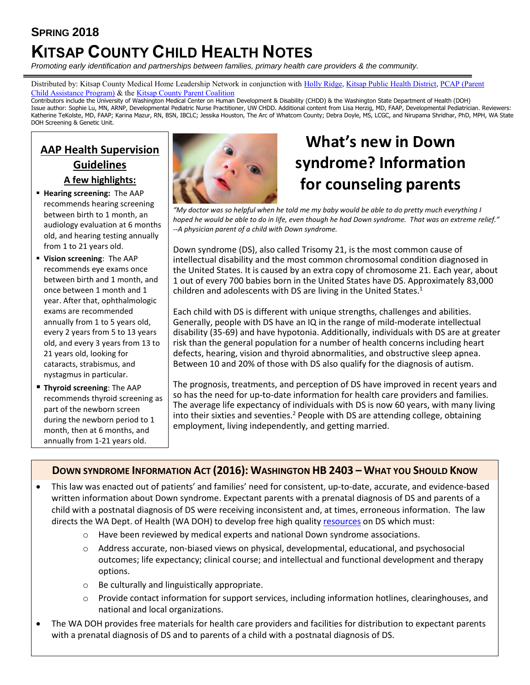# **SPRING 2018 KITSAP COUNTY CHILD HEALTH NOTES**

*Promoting early identification and partnerships between families, primary health care providers & the community.*

Distributed by: Kitsap County Medical Home Leadership Network in conjunction with [Holly Ridge,](http://www.hollyridge.org/Infant-Toddler-Program/infant-toddler.htm) [Kitsap Public Health District,](http://www.kitsappublichealth.org/communityHealth/CSHCN.php) [PCAP \(Parent](http://depts.washington.edu/pcapuw/)  [Child Assistance Program\)](http://depts.washington.edu/pcapuw/) & th[e Kitsap County Parent Coalition](http://www.kitsapcountyparentcoalition.com/index.html)

Contributors include the University of Washington Medical Center on Human Development & Disability (CHDD) & the Washington State Department of Health (DOH) Issue author: Sophie Lu, MN, ARNP, Developmental Pediatric Nurse Practitioner, UW CHDD. Additional content from Lisa Herzig, MD, FAAP, Developmental Pediatrician. Reviewers: Katherine TeKolste, MD, FAAP; Karina Mazur, RN, BSN, IBCLC; Jessika Houston, The Arc of Whatcom County; Debra Doyle, MS, LCGC, and Nirupama Shridhar, PhD, MPH, WA State DOH Screening & Genetic Unit.

# **AAP Health Supervision Guidelines A few highlights:**

- **Hearing screening:** The AAP recommends hearing screening between birth to 1 month, an audiology evaluation at 6 months old, and hearing testing annually from 1 to 21 years old.
- **Vision screening**: The AAP recommends eye exams once between birth and 1 month, and once between 1 month and 1 year. After that, ophthalmologic exams are recommended annually from 1 to 5 years old, every 2 years from 5 to 13 years old, and every 3 years from 13 to 21 years old, looking for cataracts, strabismus, and nystagmus in particular.
- **Thyroid screening**: The AAP recommends thyroid screening as part of the newborn screen during the newborn period to 1 month, then at 6 months, and annually from 1-21 years old.



# **What's new in Down syndrome? Information for counseling parents**

*"My doctor was so helpful when he told me my baby would be able to do pretty much everything I hoped he would be able to do in life, even though he had Down syndrome. That was an extreme relief." --A physician parent of a child with Down syndrome.*

Down syndrome (DS), also called Trisomy 21, is the most common cause of intellectual disability and the most common chromosomal condition diagnosed in the United States. It is caused by an extra copy of chromosome 21. Each year, about 1 out of every 700 babies born in the United States have DS. Approximately 83,000 children and adolescents with DS are living in the United States. $<sup>1</sup>$ </sup>

Each child with DS is different with unique strengths, challenges and abilities. Generally, people with DS have an IQ in the range of mild-moderate intellectual disability (35-69) and have hypotonia. Additionally, individuals with DS are at greater risk than the general population for a number of health concerns including heart defects, hearing, vision and thyroid abnormalities, and obstructive sleep apnea. Between 10 and 20% of those with DS also qualify for the diagnosis of autism.

The prognosis, treatments, and perception of DS have improved in recent years and so has the need for up-to-date information for health care providers and families. The average life expectancy of individuals with DS is now 60 years, with many living into their sixties and seventies.<sup>2</sup> People with DS are attending college, obtaining employment, living independently, and getting married.

# **DOWN SYNDROME INFORMATION ACT (2016): WASHINGTON HB 2403 – WHAT YOU SHOULD KNOW**

- This law was enacted out of patients' and families' need for consistent, up-to-date, accurate, and evidence-based written information about Down syndrome. Expectant parents with a prenatal diagnosis of DS and parents of a child with a postnatal diagnosis of DS were receiving inconsistent and, at times, erroneous information. The law directs the WA Dept. of Health (WA DOH) to develop free high quality [resources](http://www.doh.wa.gov/YouandYourFamily/InfantsandChildren/HealthandSafety/GeneticServices/DownSyndrome) on DS which must:
	- $\circ$  Have been reviewed by medical experts and national Down syndrome associations.
	- o Address accurate, non-biased views on physical, developmental, educational, and psychosocial outcomes; life expectancy; clinical course; and intellectual and functional development and therapy options.
	- o Be culturally and linguistically appropriate.
	- o Provide contact information for support services, including information hotlines, clearinghouses, and national and local organizations.
- The WA DOH provides free materials for health care providers and facilities for distribution to expectant parents with a prenatal diagnosis of DS and to parents of a child with a postnatal diagnosis of DS.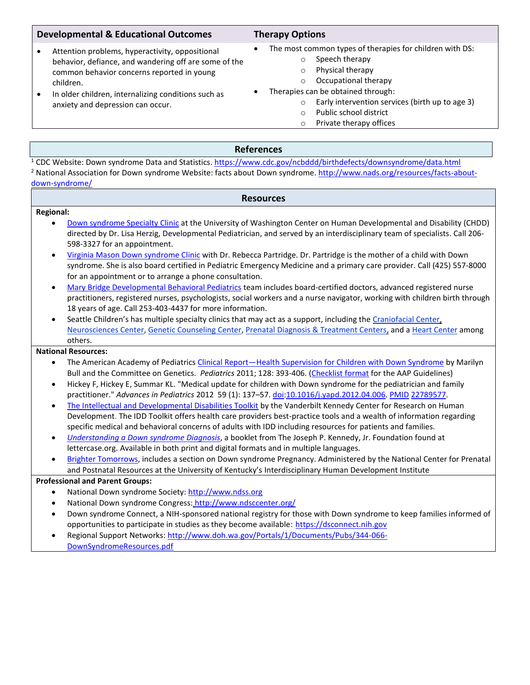# **Developmental & Educational Outcomes Therapy Options**

# • Attention problems, hyperactivity, oppositional behavior, defiance, and wandering off are some of the common behavior concerns reported in young children.

• In older children, internalizing conditions such as anxiety and depression can occur.

- The most common types of therapies for children with DS:
	- o Speech therapy
	- o Physical therapy
	- o Occupational therapy
- Therapies can be obtained through:
	- o Early intervention services (birth up to age 3)
	- o Public school district
	- o Private therapy offices

# **References**

<sup>1</sup> CDC Website: Down syndrome Data and Statistics.<https://www.cdc.gov/ncbddd/birthdefects/downsyndrome/data.html> <sup>2</sup> National Association for Down syndrome Website: facts about Down syndrome. [http://www.nads.org/resources/facts-about](http://www.nads.org/resources/facts-about-down-syndrome/)[down-syndrome/](http://www.nads.org/resources/facts-about-down-syndrome/)

## **Resources**

## **Regional:**

- [Down syndrome Specialty Clinic](https://depts.washington.edu/chdd/ucedd/ctu_5/dssclinic.html) at the University of Washington Center on Human Developmental and Disability (CHDD) directed by Dr. Lisa Herzig, Developmental Pediatrician, and served by an interdisciplinary team of specialists. Call 206- 598-3327 for an appointment.
- [Virginia Mason Down syndrome Clinic](https://www.virginiamason.org/Down-Syndrome) with Dr. Rebecca Partridge. Dr. Partridge is the mother of a child with Down syndrome. She is also board certified in Pediatric Emergency Medicine and a primary care provider. Call (425) 557-8000 for an appointment or to arrange a phone consultation.
- [Mary Bridge Developmental Behavioral Pediatrics](https://www.marybridge.org/services/developmental-behavioral-pediatrics/) team includes board-certified doctors, advanced registered nurse practitioners, registered nurses, psychologists, social workers and a nurse navigator, working with children birth through 18 years of age. Call 253-403-4437 for more information.
- Seattle Children's has multiple specialty clinics that may act as a support, including th[e Craniofacial Center,](http://www.seattlechildrens.org/clinics-programs/craniofacial/) [Neurosciences Center,](http://www.seattlechildrens.org/clinics-programs/neurosciences/) [Genetic Counseling Center,](http://www.seattlechildrens.org/clinics-programs/genetic-counseling/) [Prenatal Diagnosis & Treatment Centers,](http://www.seattlechildrens.org/clinics-programs/prenatal-diagnosis-and-treatment/) and a [Heart Center](http://www.seattlechildrens.org/clinics-programs/heart/) among others.

## **National Resources:**

- The American Academy of Pediatrics Clinical Report—[Health Supervision for Children with Down Syndrome](http://pediatrics.aappublications.org/content/pediatrics/early/2011/07/21/peds.2011-1605.full.pdf) by Marilyn Bull and the Committee on Genetics. *Pediatrics* 2011; 128: 393-406. [\(Checklist format](http://arcwhatcom.org/wp/wp-content/uploads/2013/11/AAP-guidelines.pdf) for the AAP Guidelines)
- Hickey F, Hickey E, Summar KL. "Medical update for children with Down syndrome for the pediatrician and family practitioner." *Advances in Pediatrics* 2012 59 (1): 137–57. [doi](http://en.wikipedia.org/wiki/Digital_object_identifier)[:10.1016/j.yapd.2012.04.006.](http://dx.doi.org/10.1016%2Fj.yapd.2012.04.006) [PMID](http://en.wikipedia.org/wiki/PubMed_Identifier) [22789577.](http://www.ncbi.nlm.nih.gov/pubmed/22789577)
- [The Intellectual and Developmental Disabilities Toolkit](http://www.cmhnetwork.org/news/toolkit-idd-mental-health-challenges) by the Vanderbilt Kennedy Center for Research on Human Development. The IDD Toolkit offers health care providers best-practice tools and a wealth of information regarding specific medical and behavioral concerns of adults with IDD including resources for patients and families.
- *[Understanding a Down syndrome Diagnosis](http://lettercase.org/)*, a booklet from The Joseph P. Kennedy, Jr. Foundation found at lettercase.org. Available in both print and digital formats and in multiple languages.
- [Brighter Tomorrows,](http://www.brightertomorrows.org/) includes a section on Down syndrome Pregnancy. Administered by the National Center for Prenatal and Postnatal Resources at the University of Kentucky's Interdisciplinary Human Development Institute

## **Professional and Parent Groups:**

- National Down syndrome Society[: http://www.ndss.org](http://www.ndss.org/)
- National Down syndrome Congress: <http://www.ndsccenter.org/>
- Down syndrome Connect, a NIH-sponsored national registry for those with Down syndrome to keep families informed of opportunities to participate in studies as they become available: [https://dsconnect.nih.gov](https://dsconnect.nih.gov/)
- Regional Support Networks[: http://www.doh.wa.gov/Portals/1/Documents/Pubs/344-066-](http://www.doh.wa.gov/Portals/1/Documents/Pubs/344-066-DownSyndromeResources.pdf)
- [DownSyndromeResources.pdf](http://www.doh.wa.gov/Portals/1/Documents/Pubs/344-066-DownSyndromeResources.pdf)